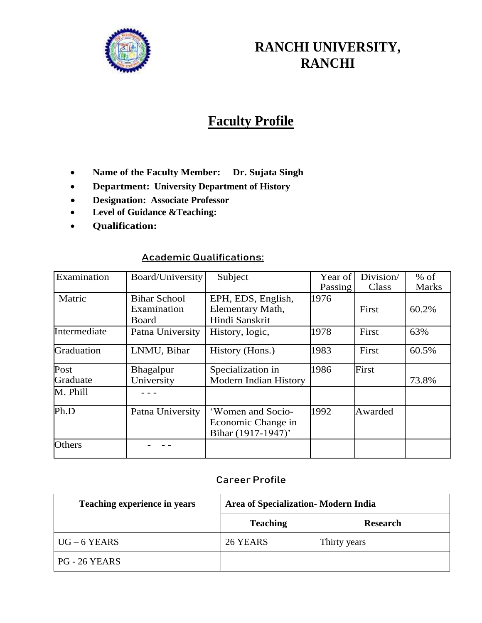

# **RANCHI UNIVERSITY, RANCHI**

# **Faculty Profile**

- **Name of the Faculty Member: Dr. Sujata Singh**
- **Department: University Department of History**
- **Designation: Associate Professor**
- **Level of Guidance &Teaching:**
- **Qualification:**

## **Academic Qualifications:**

| Examination      | Board/University                            | Subject                                                       | Year of<br>Passing | Division/<br>Class | $%$ of<br><b>Marks</b> |
|------------------|---------------------------------------------|---------------------------------------------------------------|--------------------|--------------------|------------------------|
| Matric           | <b>Bihar School</b><br>Examination<br>Board | EPH, EDS, English,<br>Elementary Math,<br>Hindi Sanskrit      | 1976               | First              | 60.2%                  |
| Intermediate     | Patna University                            | History, logic,                                               | 1978               | First              | 63%                    |
| Graduation       | LNMU, Bihar                                 | History (Hons.)                                               | 1983               | First              | 60.5%                  |
| Post<br>Graduate | Bhagalpur<br>University                     | Specialization in<br><b>Modern Indian History</b>             | 1986               | First              | 73.8%                  |
| M. Phill         |                                             |                                                               |                    |                    |                        |
| Ph.D             | Patna University                            | 'Women and Socio-<br>Economic Change in<br>Bihar (1917-1947)' | 1992               | Awarded            |                        |
| <b>Others</b>    |                                             |                                                               |                    |                    |                        |

#### **Career Profile**

| Teaching experience in years | Area of Specialization - Modern India |                 |  |
|------------------------------|---------------------------------------|-----------------|--|
|                              | <b>Teaching</b>                       | <b>Research</b> |  |
| $UG-6$ YEARS                 | 26 YEARS                              | Thirty years    |  |
| PG - 26 YEARS                |                                       |                 |  |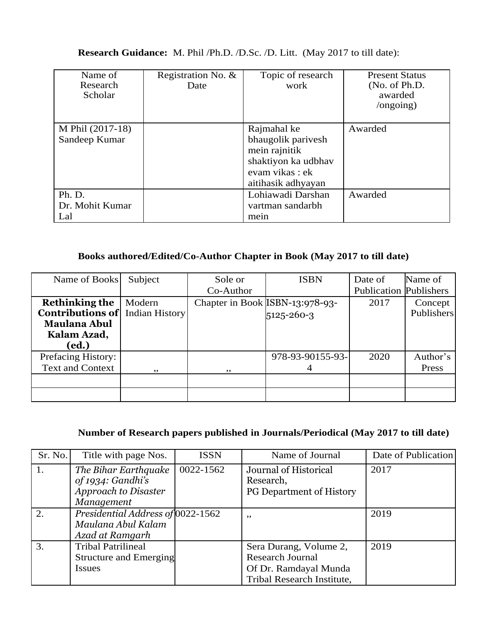### **Research Guidance:** M. Phil /Ph.D. /D.Sc. /D. Litt. (May 2017 to till date):

| Name of<br>Research<br>Scholar    | Registration No. $\&$<br>Date | Topic of research<br>work                                                                                         | <b>Present Status</b><br>(No. of Ph.D.<br>awarded<br>$\gamma$ ongoing) |
|-----------------------------------|-------------------------------|-------------------------------------------------------------------------------------------------------------------|------------------------------------------------------------------------|
| M Phil (2017-18)<br>Sandeep Kumar |                               | Rajmahal ke<br>bhaugolik parivesh<br>mein rajnitik<br>shaktiyon ka udbhav<br>evam vikas: ek<br>aitihasik adhyayan | Awarded                                                                |
| Ph. D.<br>Dr. Mohit Kumar<br>Lal  |                               | Lohiawadi Darshan<br>vartman sandarbh<br>mein                                                                     | Awarded                                                                |

## **Books authored/Edited/Co-Author Chapter in Book (May 2017 to till date)**

| Name of Books             | Subject        | Sole or   | <b>ISBN</b>                     | Date of                       | Name of    |
|---------------------------|----------------|-----------|---------------------------------|-------------------------------|------------|
|                           |                | Co-Author |                                 | <b>Publication Publishers</b> |            |
| <b>Rethinking the</b>     | Modern         |           | Chapter in Book ISBN-13:978-93- | 2017                          | Concept    |
| <b>Contributions of</b>   | Indian History |           | 5125-260-3                      |                               | Publishers |
| <b>Maulana Abul</b>       |                |           |                                 |                               |            |
| Kalam Azad,               |                |           |                                 |                               |            |
| (ed.)                     |                |           |                                 |                               |            |
| <b>Prefacing History:</b> |                |           | 978-93-90155-93-                | 2020                          | Author's   |
| <b>Text and Context</b>   | , ,            | ,,        |                                 |                               | Press      |
|                           |                |           |                                 |                               |            |
|                           |                |           |                                 |                               |            |

## **Number of Research papers published in Journals/Periodical (May 2017 to till date)**

| Sr. No. | Title with page Nos.                                                       | <b>ISSN</b> | Name of Journal                                                                                          | Date of Publication |
|---------|----------------------------------------------------------------------------|-------------|----------------------------------------------------------------------------------------------------------|---------------------|
| 1.      | The Bihar Earthquake<br>of 1934: Gandhi's                                  | 0022-1562   | Journal of Historical<br>Research,                                                                       | 2017                |
|         | Approach to Disaster<br>Management                                         |             | <b>PG Department of History</b>                                                                          |                     |
| 2.      | Presidential Address of 0022-1562<br>Maulana Abul Kalam<br>Azad at Ramgarh |             | ,,                                                                                                       | 2019                |
| 3.      | <b>Tribal Patrilineal</b><br><b>Structure and Emerging</b><br>Issues       |             | Sera Durang, Volume 2,<br><b>Research Journal</b><br>Of Dr. Ramdayal Munda<br>Tribal Research Institute, | 2019                |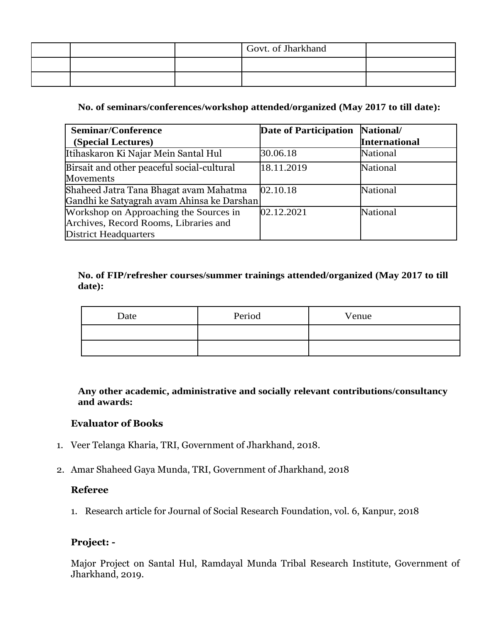|  | Govt. of Jharkhand |  |
|--|--------------------|--|
|  |                    |  |
|  |                    |  |

#### **No. of seminars/conferences/workshop attended/organized (May 2017 to till date):**

| <b>Seminar/Conference</b>                  | Date of Participation | National/            |
|--------------------------------------------|-----------------------|----------------------|
| (Special Lectures)                         |                       | <b>International</b> |
| Itihaskaron Ki Najar Mein Santal Hul       | 30.06.18              | National             |
| Birsait and other peaceful social-cultural | 18.11.2019            | National             |
| Movements                                  |                       |                      |
| Shaheed Jatra Tana Bhagat avam Mahatma     | 02.10.18              | National             |
| Gandhi ke Satyagrah avam Ahinsa ke Darshan |                       |                      |
| Workshop on Approaching the Sources in     | 02.12.2021            | <b>National</b>      |
| Archives, Record Rooms, Libraries and      |                       |                      |
| <b>District Headquarters</b>               |                       |                      |

#### **No. of FIP/refresher courses/summer trainings attended/organized (May 2017 to till date):**

| Date | Period | Venue |
|------|--------|-------|
|      |        |       |
|      |        |       |

**Any other academic, administrative and socially relevant contributions/consultancy and awards:**

### **Evaluator of Books**

- 1. Veer Telanga Kharia, TRI, Government of Jharkhand, 2018.
- 2. Amar Shaheed Gaya Munda, TRI, Government of Jharkhand, 2018

#### **Referee**

1. Research article for Journal of Social Research Foundation, vol. 6, Kanpur, 2018

#### **Project: -**

Major Project on Santal Hul, Ramdayal Munda Tribal Research Institute, Government of Jharkhand, 2019.